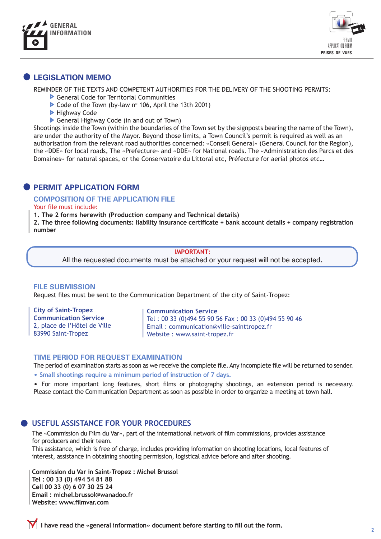



# **LEGISLATION MEMO**

REMINDER OF THE TEXTS AND COMPETENT AUTHORITIES FOR THE DELIVERY OF THE SHOOTING PERMITS:

- General Code for Territorial Communities
- Code of the Town (by-law  $n^{\circ}$  106, April the 13th 2001)
- **Highway Code**
- General Highway Code (in and out of Town)

Shootings inside the Town (within the boundaries of the Town set by the signposts bearing the name of the Town), are under the authority of the Mayor. Beyond those limits, a Town Council's permit is required as well as an authorisation from the relevant road authorities concerned: «Conseil General» (General Council for the Region), the «DDE» for local roads, The «Prefecture» and «DDE» for National roads. The «Administration des Parcs et des Domaines» for natural spaces, or the Conservatoire du Littoral etc, Préfecture for aerial photos etc…

## **PERMIT APPLICATION FORM**

#### **COMPOSITION OF THE APPLICATION FILE**

Your file must include:

**1. The 2 forms herewith (Production company and Technical details)**

**2. The three following documents: liability insurance certifcate + bank account details + company registration number** 

#### **IMPORTANT**:

All the requested documents must be attached or your request will not be accepted.

#### **FILE SUBMISSION**

Request fles must be sent to the Communication Department of the city of Saint-Tropez:

**City of Saint-Tropez Communication Service**  2, place de l'Hôtel de Ville 83990 Saint-Tropez

#### **Communication Service**

Tel : 00 33 (0)494 55 90 56 Fax : 00 33 (0)494 55 90 46 Email : communication@ville-sainttropez.fr Website : www.saint-tropez.fr

#### **TIME PERIOD FOR REQUEST EXAMINATION**

The period of examination starts as soon as we receive the complete fle. Any incomplete fle will be returned to sender.

• **Small shootings require a minimum period of instruction of 7 days.** 

• For more important long features, short flms or photography shootings, an extension period is necessary. Please contact the Communication Department as soon as possible in order to organize a meeting at town hall.

### **USEFUL ASSISTANCE FOR YOUR PROCEDURES**

The «Commission du Film du Var», part of the international network of flm commissions, provides assistance for producers and their team.

This assistance, which is free of charge, includes providing information on shooting locations, local features of interest, assistance in obtaining shooting permission, logistical advice before and after shooting.

**Commission du Var in Saint-Tropez : Michel Brussol Tel : 00 33 (0) 494 54 81 88 Cell 00 33 (0) 6 07 30 25 24 Email : michel.brussol@wanadoo.fr Website: www.flmvar.com**